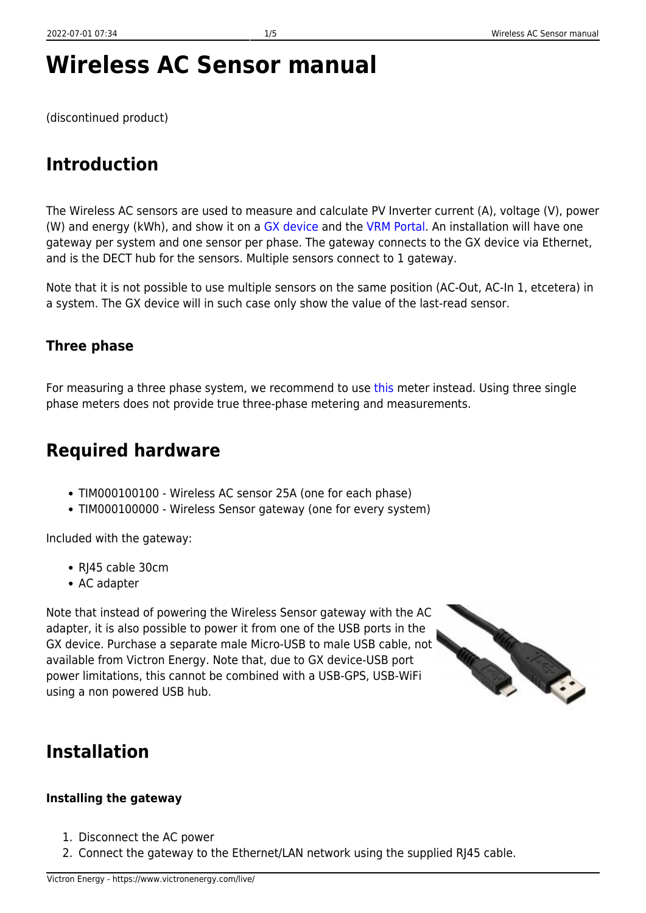# **Wireless AC Sensor manual**

(discontinued product)

## **Introduction**

The Wireless AC sensors are used to measure and calculate PV Inverter current (A), voltage (V), power (W) and energy (kWh), and show it on a [GX device](https://www.victronenergy.com/panel-systems-remote-monitoring/colorcontrol) and the [VRM Portal.](https://vrm.victronenergy.com) An installation will have one gateway per system and one sensor per phase. The gateway connects to the GX device via Ethernet, and is the DECT hub for the sensors. Multiple sensors connect to 1 gateway.

Note that it is not possible to use multiple sensors on the same position (AC-Out, AC-In 1, etcetera) in a system. The GX device will in such case only show the value of the last-read sensor.

### **Three phase**

For measuring a three phase system, we recommend to use [this](https://www.victronenergy.com/live/system_integration:hub4_grid_parallel#using_the_wired_hub-4_ac_sensor_to_measure_pv_inverter_output) meter instead. Using three single phase meters does not provide true three-phase metering and measurements.

### **Required hardware**

- TIM000100100 Wireless AC sensor 25A (one for each phase)
- TIM000100000 Wireless Sensor gateway (one for every system)

Included with the gateway:

- RI45 cable 30cm
- AC adapter

Note that instead of powering the Wireless Sensor gateway with the AC adapter, it is also possible to power it from one of the USB ports in the GX device. Purchase a separate male Micro-USB to male USB cable, not available from Victron Energy. Note that, due to GX device-USB port power limitations, this cannot be combined with a USB-GPS, USB-WiFi using a non powered USB hub.



### **Installation**

#### **Installing the gateway**

- 1. Disconnect the AC power
- 2. Connect the gateway to the Ethernet/LAN network using the supplied RJ45 cable.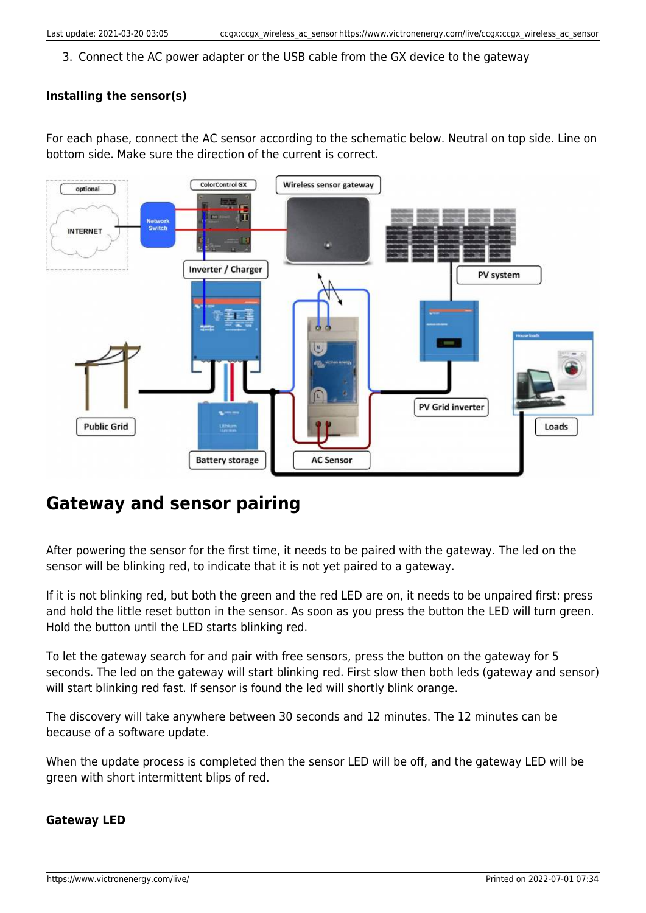3. Connect the AC power adapter or the USB cable from the GX device to the gateway

#### **Installing the sensor(s)**

For each phase, connect the AC sensor according to the schematic below. Neutral on top side. Line on bottom side. Make sure the direction of the current is correct.



## **Gateway and sensor pairing**

After powering the sensor for the first time, it needs to be paired with the gateway. The led on the sensor will be blinking red, to indicate that it is not yet paired to a gateway.

If it is not blinking red, but both the green and the red LED are on, it needs to be unpaired first: press and hold the little reset button in the sensor. As soon as you press the button the LED will turn green. Hold the button until the LED starts blinking red.

To let the gateway search for and pair with free sensors, press the button on the gateway for 5 seconds. The led on the gateway will start blinking red. First slow then both leds (gateway and sensor) will start blinking red fast. If sensor is found the led will shortly blink orange.

The discovery will take anywhere between 30 seconds and 12 minutes. The 12 minutes can be because of a software update.

When the update process is completed then the sensor LED will be off, and the gateway LED will be green with short intermittent blips of red.

#### **Gateway LED**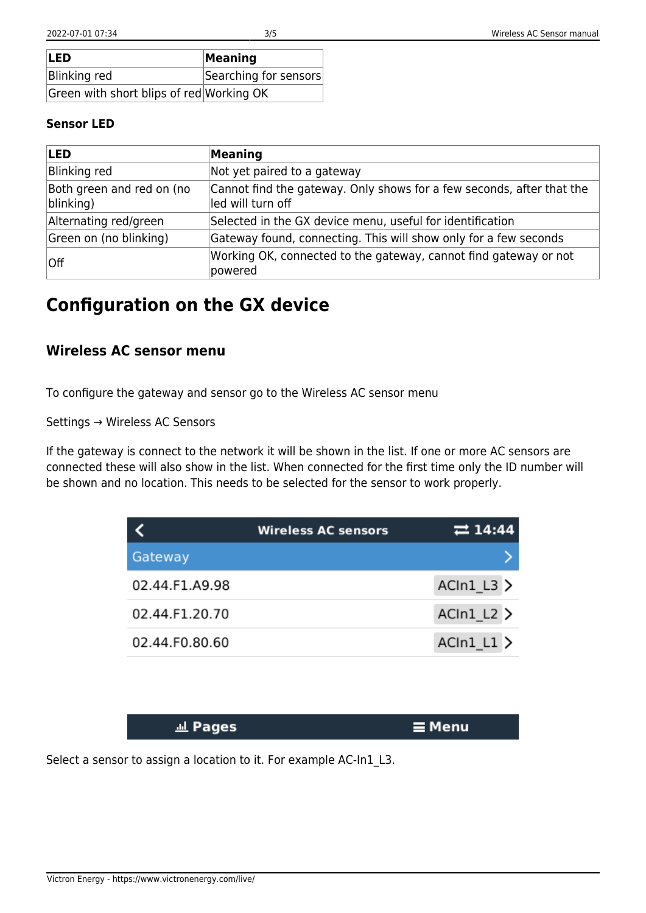| <b>ILED</b>                              | Meaning               |
|------------------------------------------|-----------------------|
| Blinking red                             | Searching for sensors |
| Green with short blips of red Working OK |                       |

#### **Sensor LED**

| <b>LED</b>                             | Meaning                                                                                    |
|----------------------------------------|--------------------------------------------------------------------------------------------|
| Blinking red                           | Not yet paired to a gateway                                                                |
| Both green and red on (no<br>blinking) | Cannot find the gateway. Only shows for a few seconds, after that the<br>led will turn off |
| Alternating red/green                  | Selected in the GX device menu, useful for identification                                  |
| Green on (no blinking)                 | Gateway found, connecting. This will show only for a few seconds                           |
| Off                                    | Working OK, connected to the gateway, cannot find gateway or not<br>powered                |

## **Configuration on the GX device**

### **Wireless AC sensor menu**

To configure the gateway and sensor go to the Wireless AC sensor menu

Settings → Wireless AC Sensors

If the gateway is connect to the network it will be shown in the list. If one or more AC sensors are connected these will also show in the list. When connected for the first time only the ID number will be shown and no location. This needs to be selected for the sensor to work properly.

|                | <b>Wireless AC sensors</b> | $\rightleftarrows$ 14:44 |
|----------------|----------------------------|--------------------------|
| Gateway        |                            |                          |
| 02.44.F1.A9.98 |                            | $ACIn1_L3$               |
| 02.44.F1.20.70 |                            | ACIn1 L2                 |
| 02.44.F0.80.60 |                            | $ACIn1_L1$               |

| <b>Jul Pages</b> | ∣ ⊒ Menu |
|------------------|----------|
|                  |          |

Select a sensor to assign a location to it. For example AC-In1\_L3.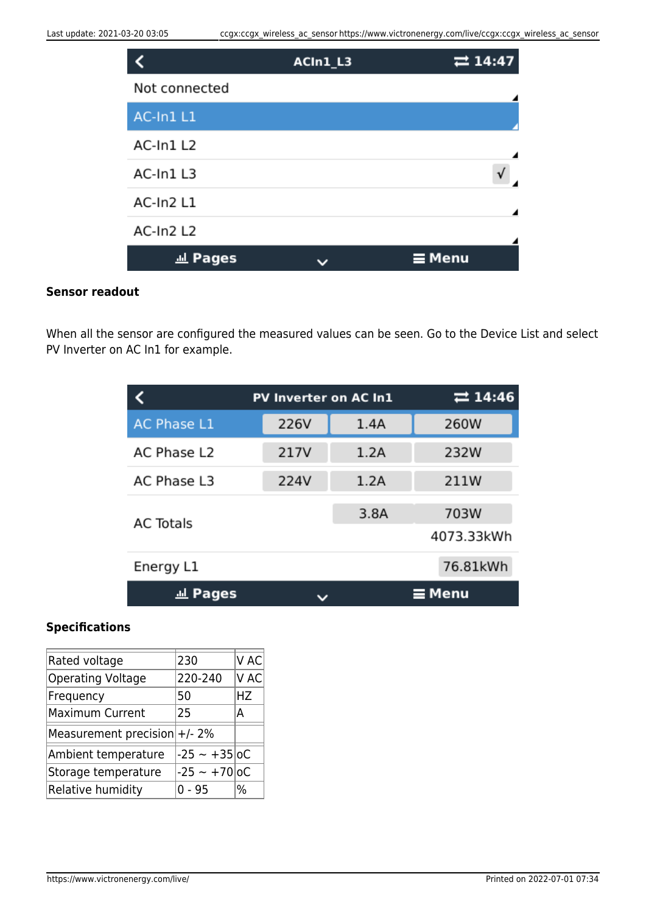|               | ACIn1_L3 | $\rightleftarrows$ 14:47 |
|---------------|----------|--------------------------|
| Not connected |          |                          |
| AC-In1L1      |          |                          |
| AC-In1L2      |          |                          |
| AC-In1L3      |          |                          |
| AC-In2 L1     |          |                          |
| AC-In2 L2     |          |                          |
| 교 Pages       |          | $\equiv$ Menu            |

#### **Sensor readout**

When all the sensor are configured the measured values can be seen. Go to the Device List and select PV Inverter on AC In1 for example.

|                    | <b>PV Inverter on AC In1</b> |      | 7214:46            |
|--------------------|------------------------------|------|--------------------|
| <b>AC Phase L1</b> | 226V                         | 1.4A | 260W               |
| AC Phase L2        | 217V                         | 1.2A | 232W               |
| AC Phase L3        | 224V                         | 1.2A | 211W               |
| <b>AC Totals</b>   |                              | 3.8A | 703W<br>4073.33kWh |
| Energy L1          |                              |      | 76.81kWh           |
| <u>교</u> Pages     |                              |      | $\equiv$ Menu      |

#### **Specifications**

| Rated voltage                   | 230            | V AC       |
|---------------------------------|----------------|------------|
| <b>Operating Voltage</b>        | 220-240        | <b>VAC</b> |
| Frequency                       | 50             | HZ         |
| Maximum Current                 | 25             | Д          |
| Measurement precision $+/- 2\%$ |                |            |
| Ambient temperature             | $-25 - +35$ oC |            |
| Storage temperature             | $-25 - +70$ oC |            |
| Relative humidity               | 0 - 95         | %          |